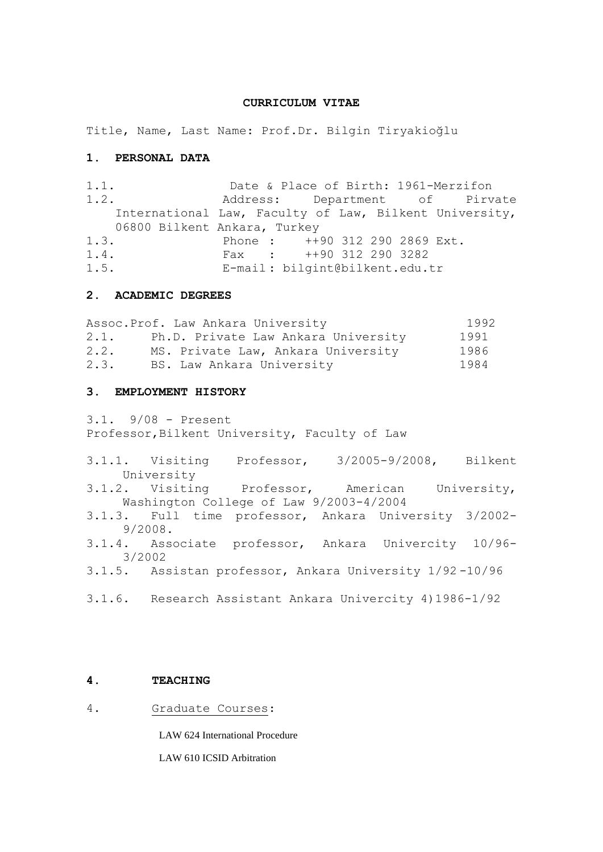#### **CURRICULUM VITAE**

Title, Name, Last Name: Prof.Dr. Bilgin Tiryakioğlu

#### **1. PERSONAL DATA**

1.1. Date & Place of Birth: 1961-Merzifon 1.2. Address: Department of Pirvate International Law, Faculty of Law, Bilkent University, 06800 Bilkent Ankara, Turkey 1.3. Phone : ++90 312 290 2869 Ext. 1.4. Fax : ++90 312 290 3282 1.5. E-mail : bilgint@bilkent.edu.tr

# **2. ACADEMIC DEGREES**

Assoc.Prof. Law Ankara University 1992 2.1. Ph.D. Private Law Ankara University 1991 2.2. MS. Private Law, Ankara University 1986<br>2.3. BS. Law Ankara University 1984 BS. Law Ankara University 1984

## **3. EMPLOYMENT HISTORY**

3.1. 9/08 - Present Professor, Bilkent University, Faculty of Law

3.1.1. Visiting Professor, 3/2005-9/2008, Bilkent University 3.1.2. Visiting Professor, American University, Washington College of Law 9/2003-4/2004 3.1.3. Full time professor, Ankara University 3/2002- 9/2008. 3.1.4. Associate professor, Ankara Univercity 10/96- 3/2002 3.1.5. Assistan professor, Ankara University 1/92 -10/96 3.1.6. Research Assistant Ankara Univercity 4)1986-1/92

## **4. TEACHING**

4. Graduate Courses:

LAW 624 International Procedure

LAW 610 ICSID Arbitration